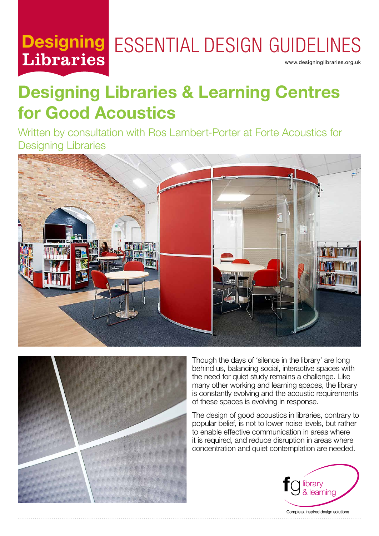# **Libraries**

## Designing ESSENTIAL DESIGN GUIDELINES

www.designinglibraries.org.uk

## **Designing Libraries & Learning Centres for Good Acoustics**

Written by consultation with Ros Lambert-Porter at Forte Acoustics for Designing Libraries





Though the days of 'silence in the library' are long behind us, balancing social, interactive spaces with the need for quiet study remains a challenge. Like many other working and learning spaces, the library is constantly evolving and the acoustic requirements of these spaces is evolving in response.

The design of good acoustics in libraries, contrary to popular belief, is not to lower noise levels, but rather to enable effective communication in areas where it is required, and reduce disruption in areas where concentration and quiet contemplation are needed.

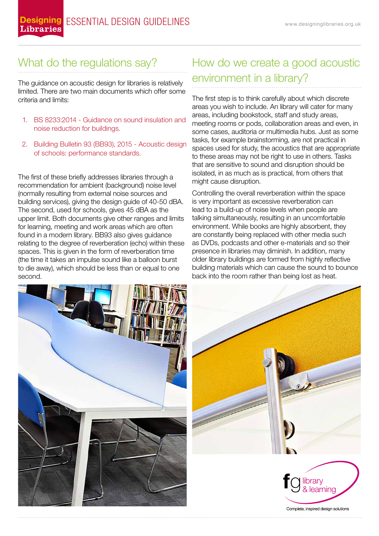#### What do the regulations say?

The guidance on acoustic design for libraries is relatively limited. There are two main documents which offer some criteria and limits:

- 1. BS 8233:2014 Guidance on sound insulation and noise reduction for buildings.
- 2. Building Bulletin 93 (BB93), 2015 Acoustic design of schools: performance standards.

The first of these briefly addresses libraries through a recommendation for ambient (background) noise level (normally resulting from external noise sources and building services), giving the design guide of 40-50 dBA. The second, used for schools, gives 45 dBA as the upper limit. Both documents give other ranges and limits for learning, meeting and work areas which are often found in a modern library. BB93 also gives guidance relating to the degree of reverberation (echo) within these spaces. This is given in the form of reverberation time (the time it takes an impulse sound like a balloon burst to die away), which should be less than or equal to one second.

### How do we create a good acoustic environment in a library?

The first step is to think carefully about which discrete areas you wish to include. An library will cater for many areas, including bookstock, staff and study areas, meeting rooms or pods, collaboration areas and even, in some cases, auditoria or multimedia hubs. Just as some tasks, for example brainstorming, are not practical in spaces used for study, the acoustics that are appropriate to these areas may not be right to use in others. Tasks that are sensitive to sound and disruption should be isolated, in as much as is practical, from others that might cause disruption.

Controlling the overall reverberation within the space is very important as excessive reverberation can lead to a build-up of noise levels when people are talking simultaneously, resulting in an uncomfortable environment. While books are highly absorbent, they are constantly being replaced with other media such as DVDs, podcasts and other e-materials and so their presence in libraries may diminish. In addition, many older library buildings are formed from highly reflective building materials which can cause the sound to bounce back into the room rather than being lost as heat.







Complete, inspired design solutions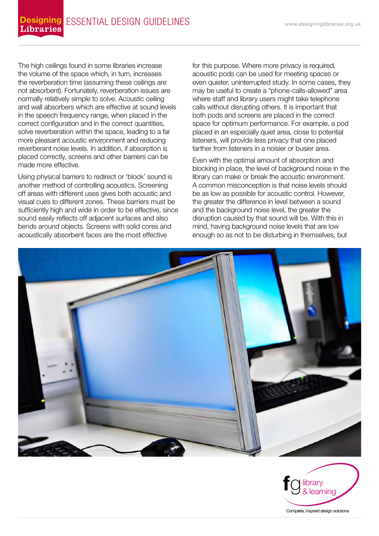The high ceilings found in some libraries increase the volume of the space which, in turn, increases the reverberation time (assuming these ceilings are not absorbent). Fortunately, reverberation issues are normally relatively simple to solve. Acoustic ceiling and wall absorbers which are effective at sound levels in the speech frequency range, when placed in the correct configuration and in the correct quantities, solve reverberation within the space, leading to a far more pleasant acoustic environment and reducing reverberant noise levels. In addition, if absorption is placed correctly, screens and other barriers can be made more effective.

Using physical barriers to redirect or 'block' sound is another method of controlling acoustics. Screening off areas with different uses gives both acoustic and visual cues to different zones. These barriers must be sufficiently high and wide in order to be effective, since sound easily reflects off adjacent surfaces and also bends around objects. Screens with solid cores and acoustically absorbent faces are the most effective

for this purpose. Where more privacy is required, acoustic pods can be used for meeting spaces or even quieter, uninterrupted study. In some cases, they may be useful to create a "phone-calls-allowed" area where staff and library users might take telephone calls without disrupting others. It is important that both pods and screens are placed in the correct space for optimum performance. For example, a pod placed in an especially quiet area, close to potential listeners, will provide less privacy that one placed farther from listeners in a noisier or busier area.

Even with the optimal amount of absorption and blocking in place, the level of background noise in the library can make or break the acoustic environment. A common misconception is that noise levels should be as low as possible for acoustic control. However, the greater the difference in level between a sound and the background noise level, the greater the disruption caused by that sound will be. With this in mind, having background noise levels that are low enough so as not to be disturbing in themselves, but